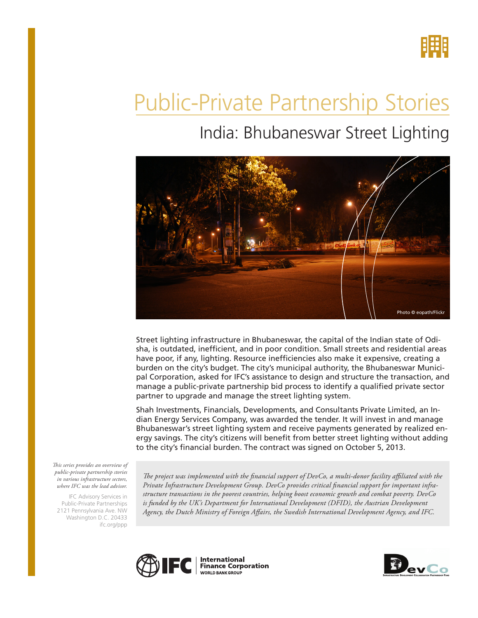

# Public-Private Partnership Stories

## India: Bhubaneswar Street Lighting



Street lighting infrastructure in Bhubaneswar, the capital of the Indian state of Odisha, is outdated, inefficient, and in poor condition. Small streets and residential areas have poor, if any, lighting. Resource inefficiencies also make it expensive, creating a burden on the city's budget. The city's municipal authority, the Bhubaneswar Municipal Corporation, asked for IFC's assistance to design and structure the transaction, and manage a public-private partnership bid process to identify a qualified private sector partner to upgrade and manage the street lighting system.

Shah Investments, Financials, Developments, and Consultants Private Limited, an Indian Energy Services Company, was awarded the tender. It will invest in and manage Bhubaneswar's street lighting system and receive payments generated by realized energy savings. The city's citizens will benefit from better street lighting without adding to the city's financial burden. The contract was signed on October 5, 2013.

*This series provides an overview of public-private partnership stories in various infrastructure sectors, where IFC was the lead advisor.* 

IFC Advisory Services in Public-Private Partnerships 2121 Pennsylvania Ave. NW Washington D.C. 20433 ifc.org/ppp

*The project was implemented with the financial support of DevCo, a multi-donor facility affiliated with the Private Infrastructure Development Group. DevCo provides critical financial support for important infrastructure transactions in the poorest countries, helping boost economic growth and combat poverty. DevCo*  is funded by the UK's Department for International Development (DFID), the Austrian Development *Agency, the Dutch Ministry of Foreign Affairs, the Swedish International Development Agency, and IFC.*